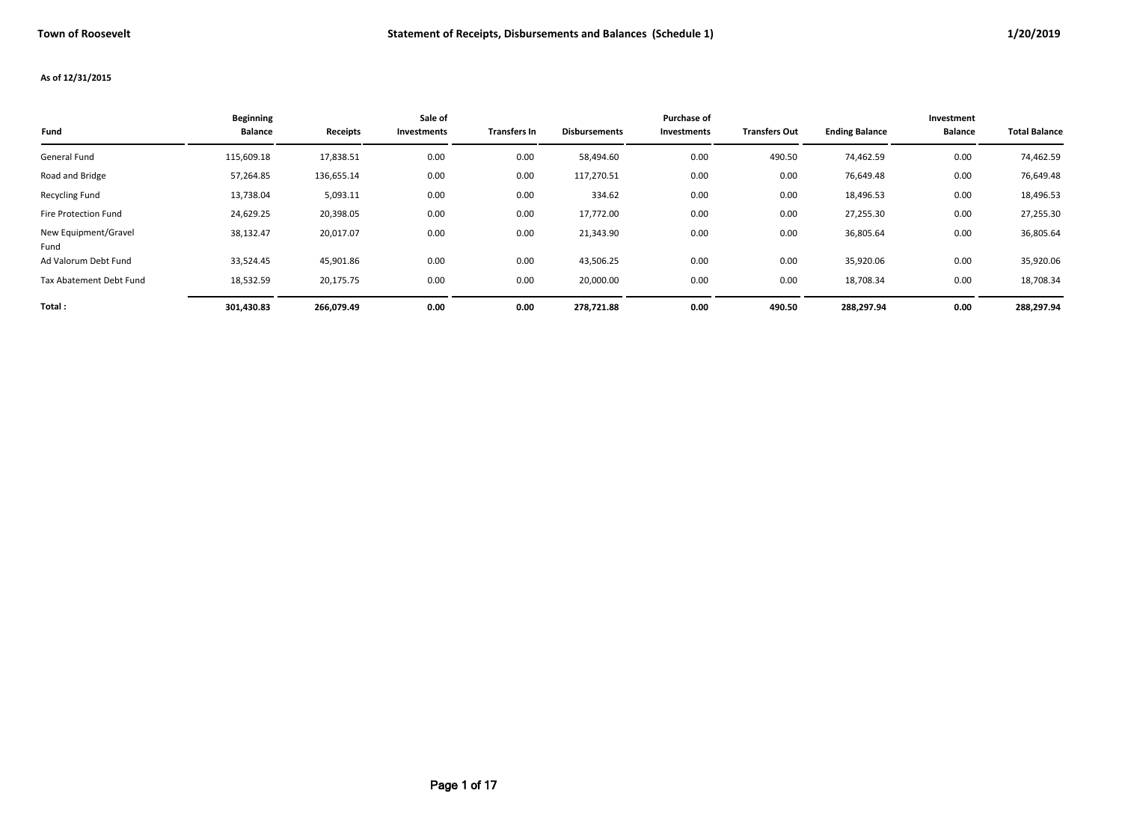## **As of 12/31/2015**

| Fund                         | <b>Beginning</b><br><b>Balance</b> | Receipts   | Sale of<br>Investments | Transfers In | <b>Disbursements</b> | Purchase of<br>Investments | <b>Transfers Out</b> | <b>Ending Balance</b> | Investment<br><b>Balance</b> | <b>Total Balance</b> |
|------------------------------|------------------------------------|------------|------------------------|--------------|----------------------|----------------------------|----------------------|-----------------------|------------------------------|----------------------|
| General Fund                 | 115,609.18                         | 17,838.51  | 0.00                   | 0.00         | 58,494.60            | 0.00                       | 490.50               | 74,462.59             | 0.00                         | 74,462.59            |
| Road and Bridge              | 57,264.85                          | 136,655.14 | 0.00                   | 0.00         | 117,270.51           | 0.00                       | 0.00                 | 76,649.48             | 0.00                         | 76,649.48            |
| <b>Recycling Fund</b>        | 13,738.04                          | 5,093.11   | 0.00                   | 0.00         | 334.62               | 0.00                       | 0.00                 | 18,496.53             | 0.00                         | 18,496.53            |
| Fire Protection Fund         | 24,629.25                          | 20,398.05  | 0.00                   | 0.00         | 17,772.00            | 0.00                       | 0.00                 | 27,255.30             | 0.00                         | 27,255.30            |
| New Equipment/Gravel<br>Fund | 38,132.47                          | 20,017.07  | 0.00                   | 0.00         | 21,343.90            | 0.00                       | 0.00                 | 36,805.64             | 0.00                         | 36,805.64            |
| Ad Valorum Debt Fund         | 33,524.45                          | 45,901.86  | 0.00                   | 0.00         | 43,506.25            | 0.00                       | 0.00                 | 35,920.06             | 0.00                         | 35,920.06            |
| Tax Abatement Debt Fund      | 18,532.59                          | 20,175.75  | 0.00                   | 0.00         | 20,000.00            | 0.00                       | 0.00                 | 18,708.34             | 0.00                         | 18,708.34            |
| Total:                       | 301,430.83                         | 266.079.49 | 0.00                   | 0.00         | 278,721.88           | 0.00                       | 490.50               | 288,297.94            | 0.00                         | 288,297.94           |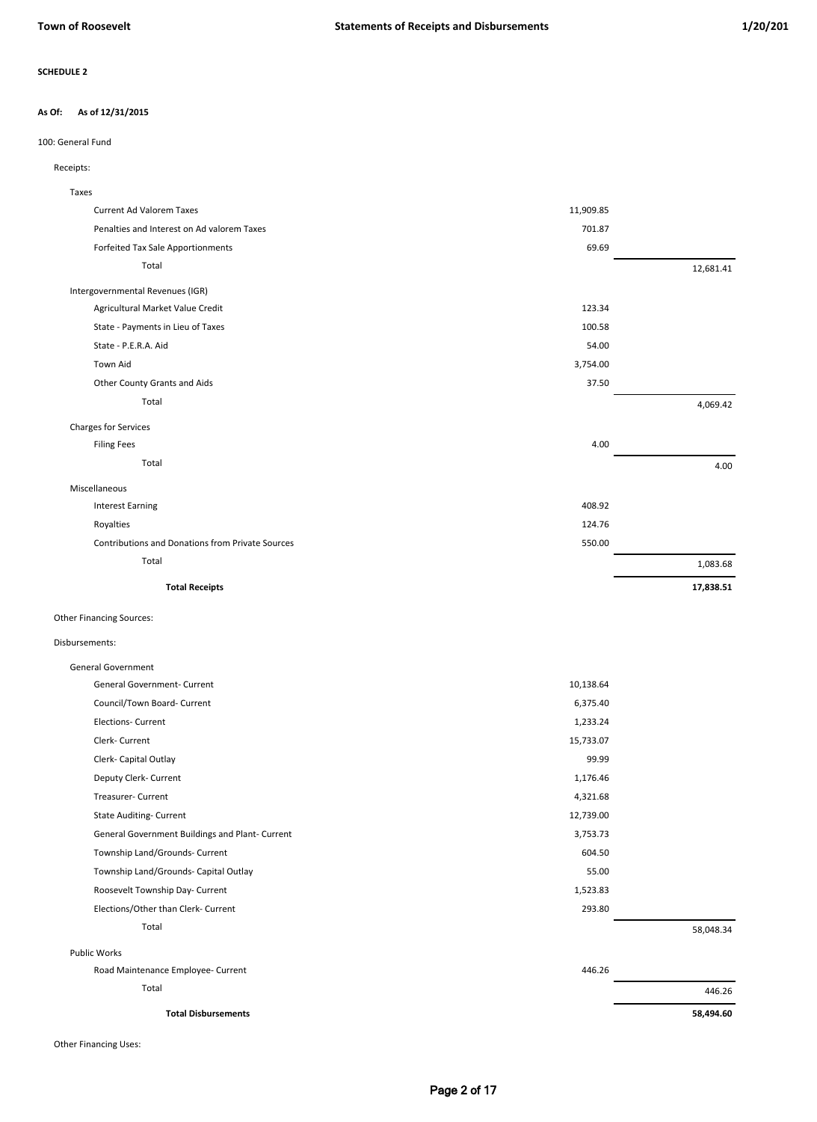#### **As of 12/31/2015 As Of:**

## 100: General Fund

## Receipts:

| Taxes                                            |           |           |
|--------------------------------------------------|-----------|-----------|
| <b>Current Ad Valorem Taxes</b>                  | 11,909.85 |           |
| Penalties and Interest on Ad valorem Taxes       | 701.87    |           |
| Forfeited Tax Sale Apportionments                | 69.69     |           |
| Total                                            |           | 12,681.41 |
| Intergovernmental Revenues (IGR)                 |           |           |
| Agricultural Market Value Credit                 | 123.34    |           |
| State - Payments in Lieu of Taxes                | 100.58    |           |
| State - P.E.R.A. Aid                             | 54.00     |           |
| <b>Town Aid</b>                                  | 3,754.00  |           |
| Other County Grants and Aids                     | 37.50     |           |
| Total                                            |           | 4,069.42  |
| <b>Charges for Services</b>                      |           |           |
| <b>Filing Fees</b>                               | 4.00      |           |
| Total                                            |           | 4.00      |
| Miscellaneous                                    |           |           |
| <b>Interest Earning</b>                          | 408.92    |           |
| Royalties                                        | 124.76    |           |
| Contributions and Donations from Private Sources | 550.00    |           |
| Total                                            |           | 1,083.68  |
| <b>Total Receipts</b>                            |           | 17,838.51 |
| Other Financing Sources:                         |           |           |
| Disbursements:                                   |           |           |
| <b>General Government</b>                        |           |           |

| <b>General Government- Current</b>              | 10,138.64 |           |
|-------------------------------------------------|-----------|-----------|
| Council/Town Board- Current                     | 6,375.40  |           |
| <b>Elections- Current</b>                       | 1,233.24  |           |
| Clerk- Current                                  | 15,733.07 |           |
| Clerk- Capital Outlay                           | 99.99     |           |
| Deputy Clerk- Current                           | 1,176.46  |           |
| <b>Treasurer- Current</b>                       | 4,321.68  |           |
| <b>State Auditing- Current</b>                  | 12,739.00 |           |
| General Government Buildings and Plant- Current | 3,753.73  |           |
| Township Land/Grounds- Current                  | 604.50    |           |
| Township Land/Grounds- Capital Outlay           | 55.00     |           |
| Roosevelt Township Day- Current                 | 1,523.83  |           |
| Elections/Other than Clerk- Current             | 293.80    |           |
| Total                                           |           | 58,048.34 |
| <b>Public Works</b>                             |           |           |
| Road Maintenance Employee- Current              | 446.26    |           |
| Total                                           |           | 446.26    |

**Total Disbursements 58,494.60**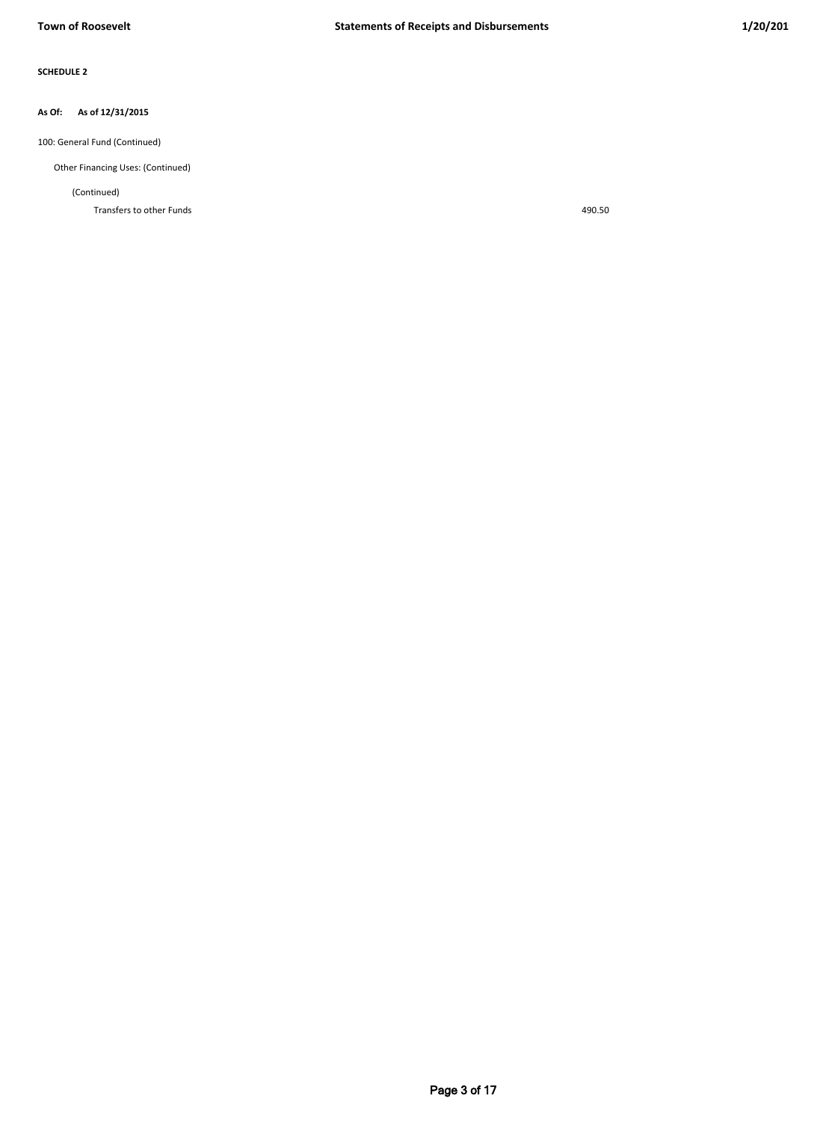#### **As of 12/31/2015 As Of:**

100: General Fund (Continued)

Other Financing Uses: (Continued)

(Continued)

Transfers to other Funds 490.50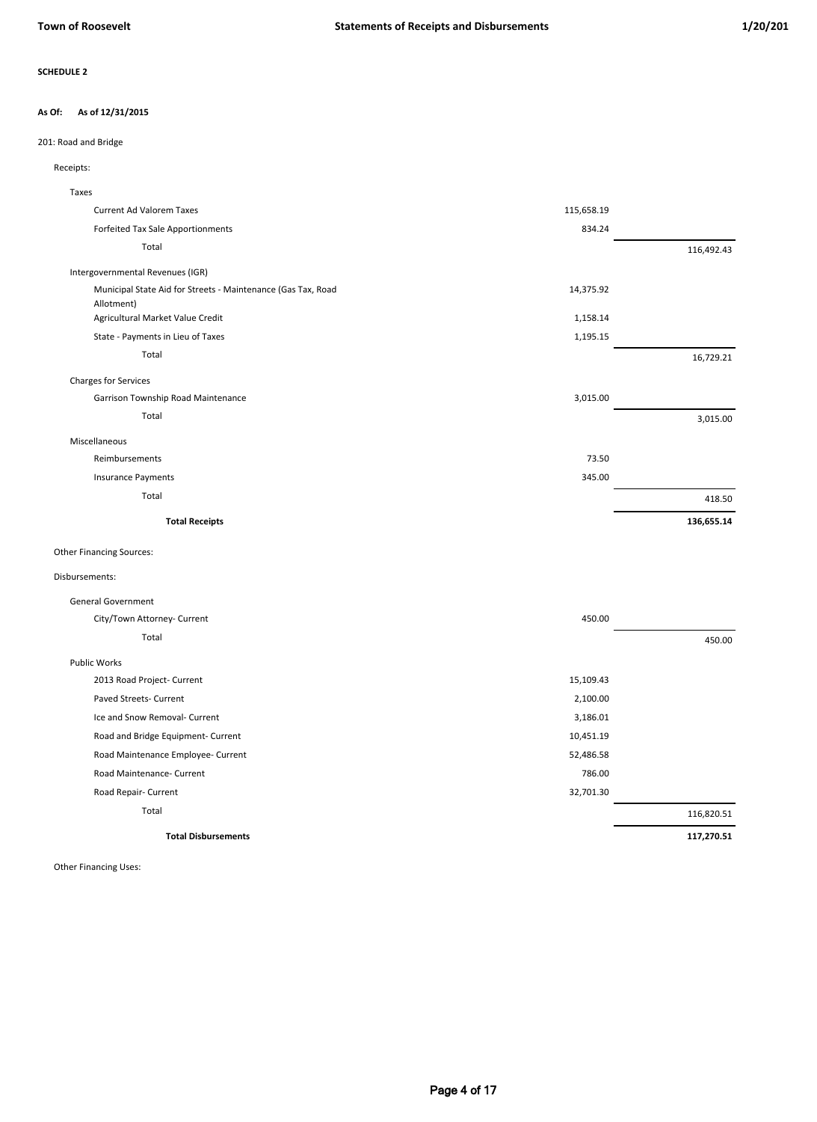#### **As of 12/31/2015 As Of:**

## 201: Road and Bridge

## Receipts:

| Taxes                                                                      |            |            |
|----------------------------------------------------------------------------|------------|------------|
| <b>Current Ad Valorem Taxes</b>                                            | 115,658.19 |            |
| Forfeited Tax Sale Apportionments                                          | 834.24     |            |
| Total                                                                      |            | 116,492.43 |
| Intergovernmental Revenues (IGR)                                           |            |            |
| Municipal State Aid for Streets - Maintenance (Gas Tax, Road<br>Allotment) | 14,375.92  |            |
| Agricultural Market Value Credit                                           | 1,158.14   |            |
| State - Payments in Lieu of Taxes                                          | 1,195.15   |            |
| Total                                                                      |            | 16,729.21  |
| Charges for Services                                                       |            |            |
| Garrison Township Road Maintenance                                         | 3,015.00   |            |
| Total                                                                      |            | 3,015.00   |
| Miscellaneous                                                              |            |            |
| Reimbursements                                                             | 73.50      |            |
| <b>Insurance Payments</b>                                                  | 345.00     |            |
| Total                                                                      |            | 418.50     |
| <b>Total Receipts</b>                                                      |            | 136,655.14 |
| <b>Other Financing Sources:</b>                                            |            |            |

### Disbursements:

| <b>General Government</b>          |           |            |
|------------------------------------|-----------|------------|
| City/Town Attorney- Current        | 450.00    |            |
| Total                              |           | 450.00     |
| <b>Public Works</b>                |           |            |
| 2013 Road Project- Current         | 15,109.43 |            |
| Paved Streets- Current             | 2,100.00  |            |
| Ice and Snow Removal- Current      | 3,186.01  |            |
| Road and Bridge Equipment- Current | 10,451.19 |            |
| Road Maintenance Employee- Current | 52,486.58 |            |
| Road Maintenance- Current          | 786.00    |            |
| Road Repair- Current               | 32,701.30 |            |
| Total                              |           | 116,820.51 |
| <b>Total Disbursements</b>         |           | 117,270.51 |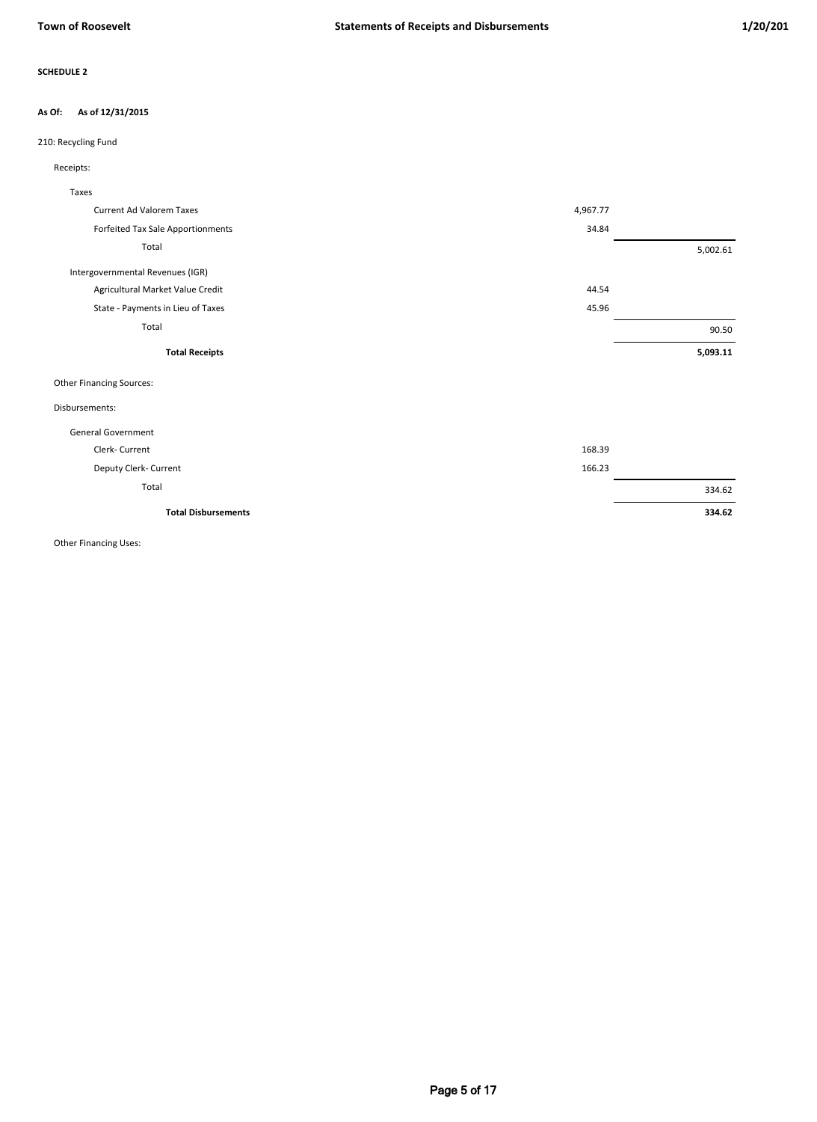### **As of 12/31/2015 As Of:**

## 210: Recycling Fund

| Receipts: |
|-----------|
|-----------|

| Taxes                             |          |          |
|-----------------------------------|----------|----------|
| <b>Current Ad Valorem Taxes</b>   | 4,967.77 |          |
| Forfeited Tax Sale Apportionments | 34.84    |          |
| Total                             |          | 5,002.61 |
| Intergovernmental Revenues (IGR)  |          |          |
| Agricultural Market Value Credit  | 44.54    |          |
| State - Payments in Lieu of Taxes | 45.96    |          |
| Total                             |          | 90.50    |
| <b>Total Receipts</b>             |          | 5,093.11 |
| <b>Other Financing Sources:</b>   |          |          |
| Disbursements:                    |          |          |
| <b>General Government</b>         |          |          |
| Clerk- Current                    | 168.39   |          |
| Deputy Clerk- Current             | 166.23   |          |
| Total                             |          | 334.62   |
| <b>Total Disbursements</b>        |          | 334.62   |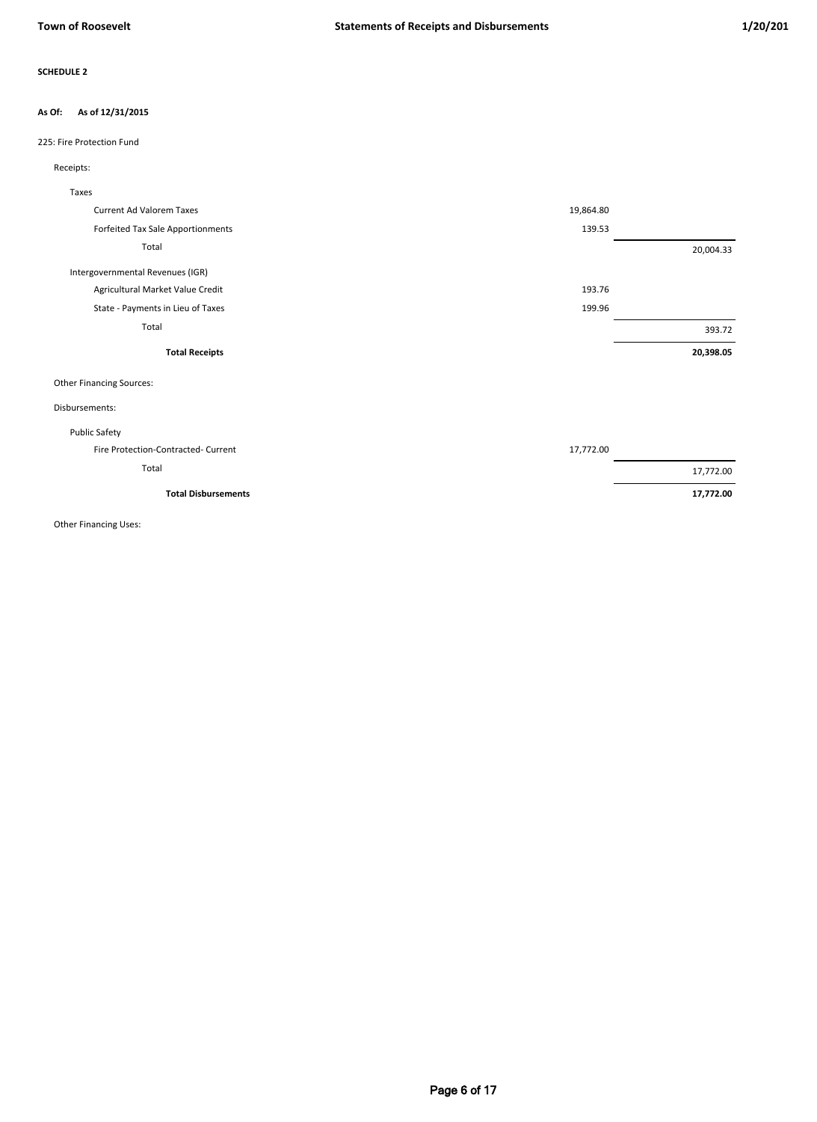### **As of 12/31/2015 As Of:**

## 225: Fire Protection Fund

## Receipts:

| Taxes                               |           |           |
|-------------------------------------|-----------|-----------|
| <b>Current Ad Valorem Taxes</b>     | 19,864.80 |           |
| Forfeited Tax Sale Apportionments   | 139.53    |           |
| Total                               |           | 20,004.33 |
| Intergovernmental Revenues (IGR)    |           |           |
| Agricultural Market Value Credit    | 193.76    |           |
| State - Payments in Lieu of Taxes   | 199.96    |           |
| Total                               |           | 393.72    |
| <b>Total Receipts</b>               |           | 20,398.05 |
| <b>Other Financing Sources:</b>     |           |           |
| Disbursements:                      |           |           |
| <b>Public Safety</b>                |           |           |
| Fire Protection-Contracted- Current | 17,772.00 |           |
| Total                               |           | 17,772.00 |
| <b>Total Disbursements</b>          |           | 17,772.00 |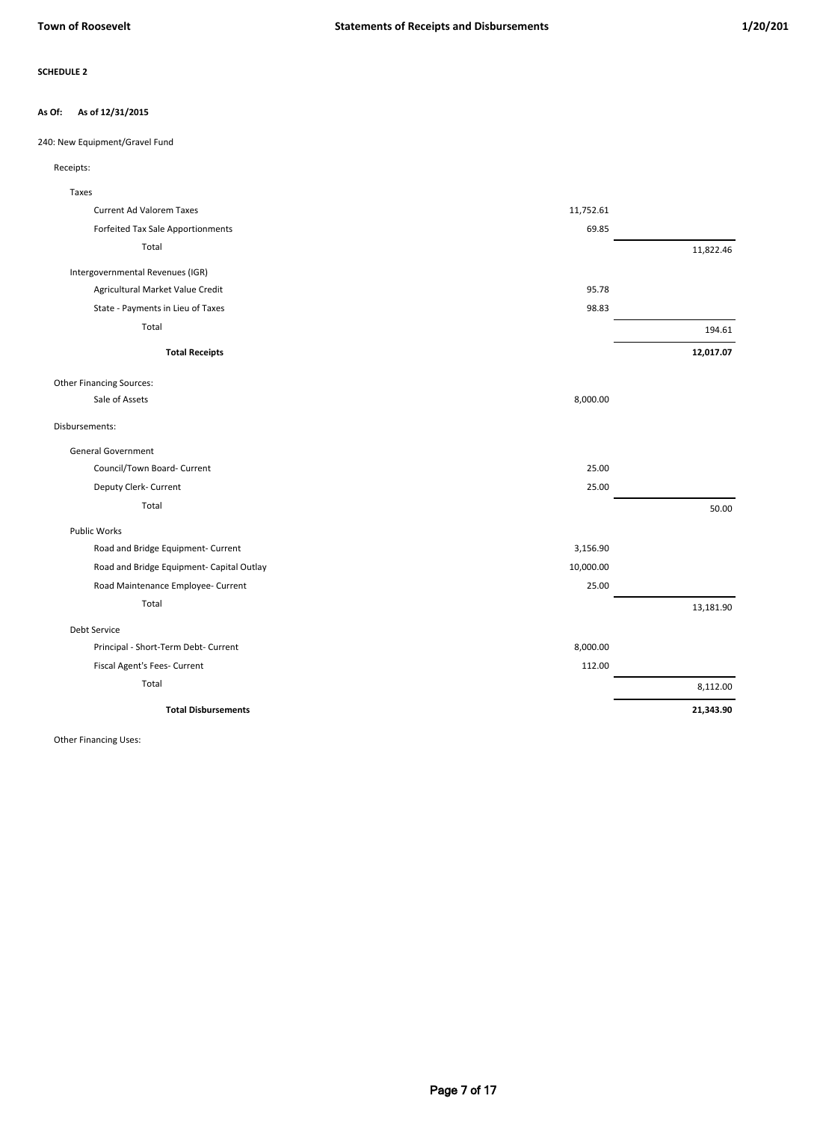#### **As of 12/31/2015 As Of:**

240: New Equipment/Gravel Fund

| Taxes                                     |           |           |
|-------------------------------------------|-----------|-----------|
| <b>Current Ad Valorem Taxes</b>           | 11,752.61 |           |
| Forfeited Tax Sale Apportionments         | 69.85     |           |
| Total                                     |           | 11,822.46 |
| Intergovernmental Revenues (IGR)          |           |           |
| Agricultural Market Value Credit          | 95.78     |           |
| State - Payments in Lieu of Taxes         | 98.83     |           |
| Total                                     |           | 194.61    |
| <b>Total Receipts</b>                     |           | 12,017.07 |
| <b>Other Financing Sources:</b>           |           |           |
| Sale of Assets                            | 8,000.00  |           |
| Disbursements:                            |           |           |
| <b>General Government</b>                 |           |           |
| Council/Town Board- Current               | 25.00     |           |
| Deputy Clerk- Current                     | 25.00     |           |
| Total                                     |           | 50.00     |
| <b>Public Works</b>                       |           |           |
| Road and Bridge Equipment- Current        | 3,156.90  |           |
| Road and Bridge Equipment- Capital Outlay | 10,000.00 |           |
| Road Maintenance Employee- Current        | 25.00     |           |
| Total                                     |           | 13,181.90 |
| Debt Service                              |           |           |
| Principal - Short-Term Debt- Current      | 8,000.00  |           |
| Fiscal Agent's Fees- Current              | 112.00    |           |
| Total                                     |           | 8,112.00  |
| <b>Total Disbursements</b>                |           | 21,343.90 |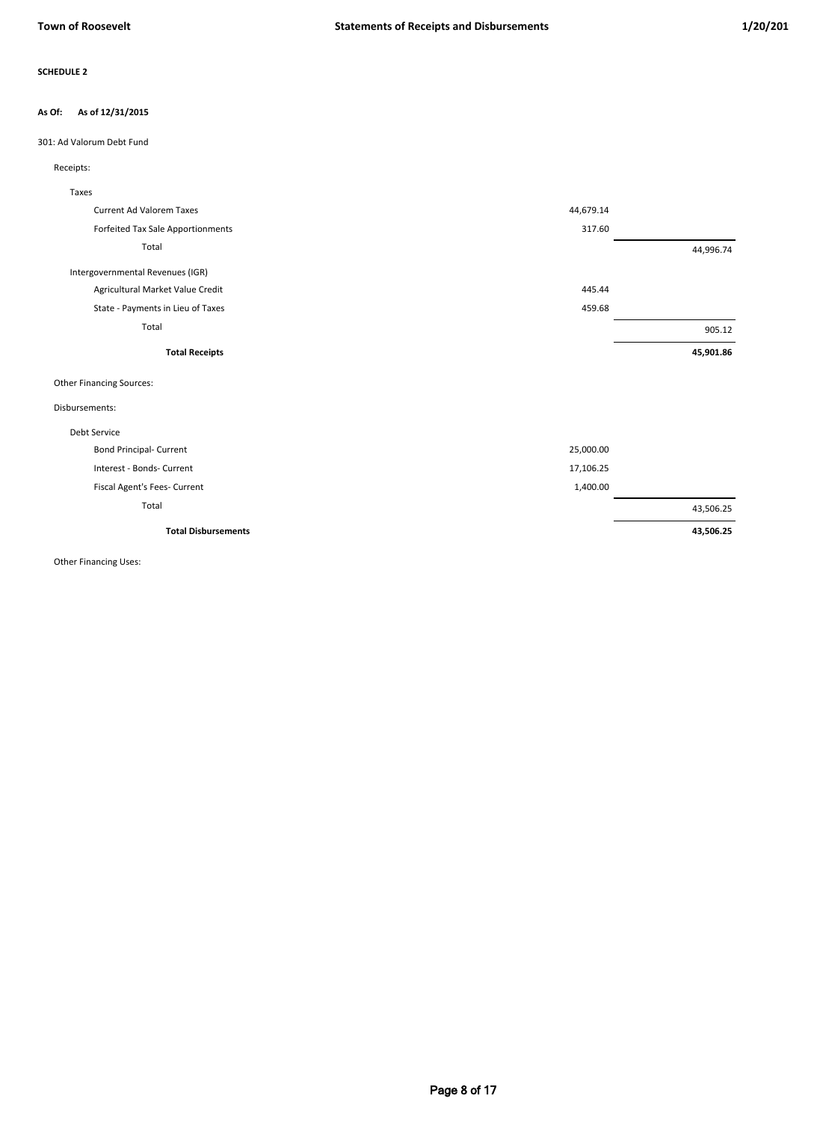### **As of 12/31/2015 As Of:**

## 301: Ad Valorum Debt Fund

| Taxes                             |           |           |
|-----------------------------------|-----------|-----------|
| <b>Current Ad Valorem Taxes</b>   | 44,679.14 |           |
| Forfeited Tax Sale Apportionments | 317.60    |           |
| Total                             |           | 44,996.74 |
| Intergovernmental Revenues (IGR)  |           |           |
| Agricultural Market Value Credit  | 445.44    |           |
| State - Payments in Lieu of Taxes | 459.68    |           |
| Total                             |           | 905.12    |
| <b>Total Receipts</b>             |           | 45,901.86 |
| <b>Other Financing Sources:</b>   |           |           |
| Disbursements:                    |           |           |
| <b>Debt Service</b>               |           |           |
| <b>Bond Principal- Current</b>    | 25,000.00 |           |
| Interest - Bonds- Current         | 17,106.25 |           |
| Fiscal Agent's Fees- Current      | 1,400.00  |           |
| Total                             |           | 43,506.25 |
| <b>Total Disbursements</b>        |           | 43,506.25 |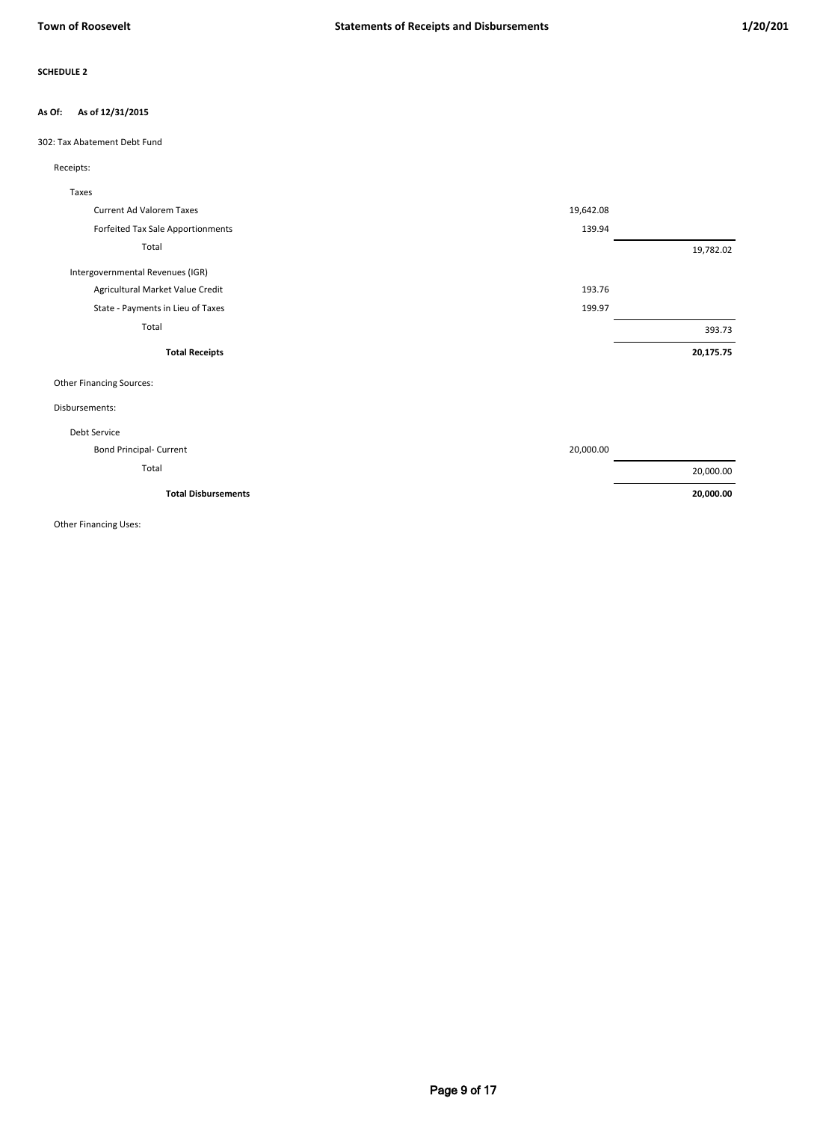#### **As of 12/31/2015 As Of:**

302: Tax Abatement Debt Fund

## Receipts:

| Taxes                             |           |           |
|-----------------------------------|-----------|-----------|
| <b>Current Ad Valorem Taxes</b>   | 19,642.08 |           |
| Forfeited Tax Sale Apportionments | 139.94    |           |
| Total                             |           | 19,782.02 |
| Intergovernmental Revenues (IGR)  |           |           |
| Agricultural Market Value Credit  | 193.76    |           |
| State - Payments in Lieu of Taxes | 199.97    |           |
| Total                             |           | 393.73    |
| <b>Total Receipts</b>             |           | 20,175.75 |
| <b>Other Financing Sources:</b>   |           |           |
| Disbursements:                    |           |           |
| Debt Service                      |           |           |
| <b>Bond Principal- Current</b>    | 20,000.00 |           |
| Total                             |           | 20,000.00 |
| <b>Total Disbursements</b>        |           | 20,000.00 |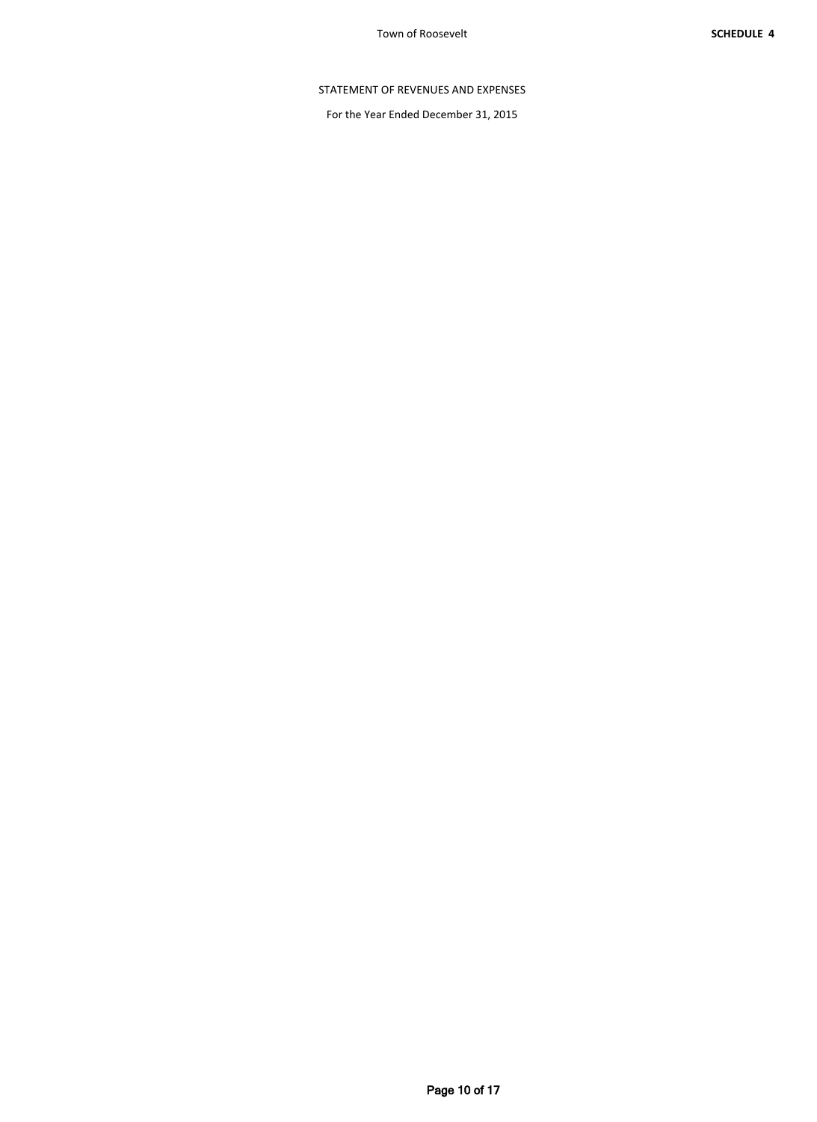# STATEMENT OF REVENUES AND EXPENSES

For the Year Ended December 31, 2015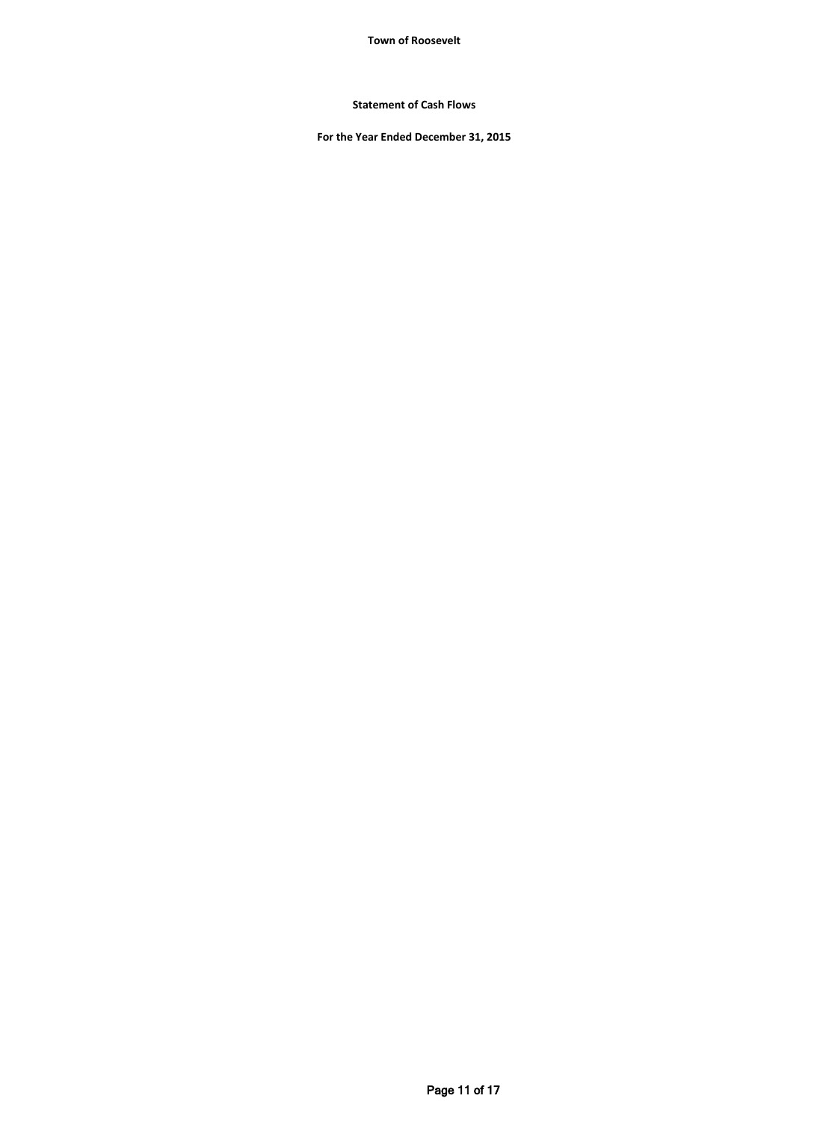**Town of Roosevelt**

**Statement of Cash Flows**

**For the Year Ended December 31, 2015**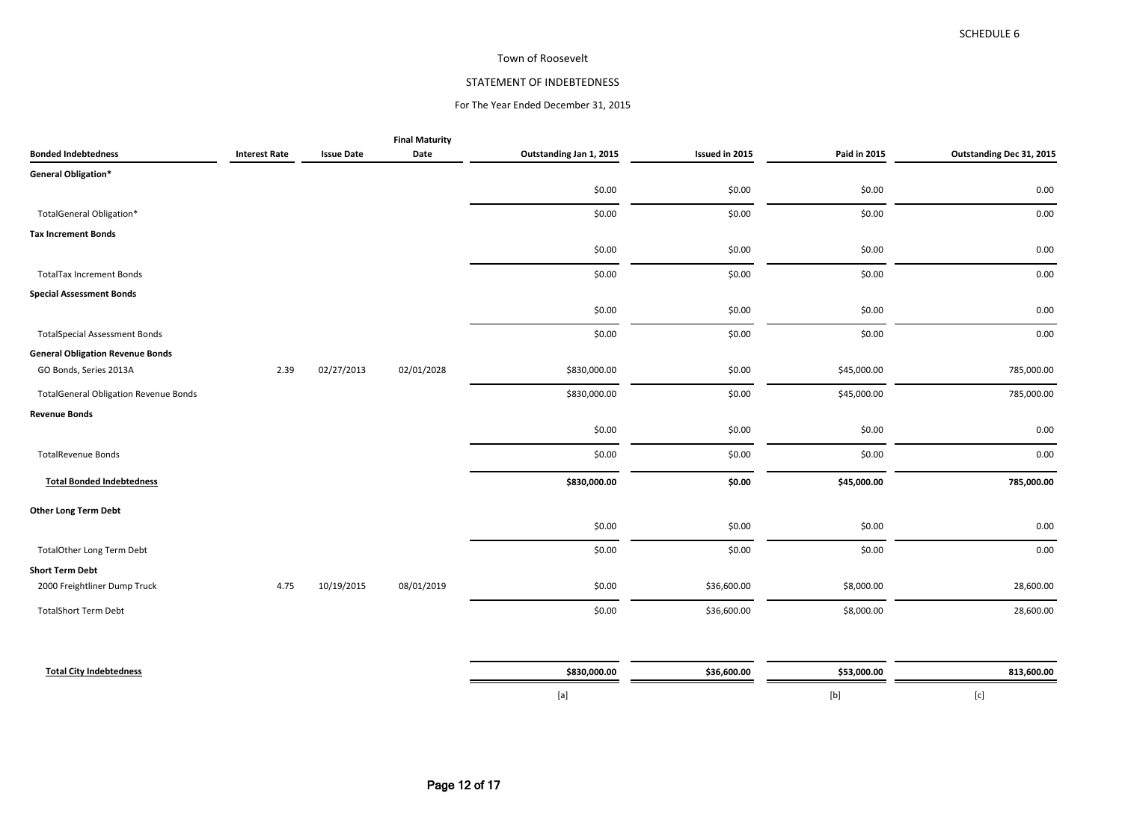### Town of Roosevelt

# STATEMENT OF INDEBTEDNESS

## For The Year Ended December 31, 2015

|                                              |                      |                   | <b>Final Maturity</b> |                         |                |              |                          |
|----------------------------------------------|----------------------|-------------------|-----------------------|-------------------------|----------------|--------------|--------------------------|
| <b>Bonded Indebtedness</b>                   | <b>Interest Rate</b> | <b>Issue Date</b> | Date                  | Outstanding Jan 1, 2015 | Issued in 2015 | Paid in 2015 | Outstanding Dec 31, 2015 |
| General Obligation*                          |                      |                   |                       |                         |                |              |                          |
|                                              |                      |                   |                       | \$0.00                  | \$0.00         | \$0.00       | 0.00                     |
| TotalGeneral Obligation*                     |                      |                   |                       | \$0.00                  | \$0.00         | \$0.00       | 0.00                     |
| <b>Tax Increment Bonds</b>                   |                      |                   |                       |                         |                |              |                          |
|                                              |                      |                   |                       | \$0.00                  | \$0.00         | \$0.00       | 0.00                     |
| <b>TotalTax Increment Bonds</b>              |                      |                   |                       | \$0.00                  | \$0.00         | \$0.00       | 0.00                     |
| <b>Special Assessment Bonds</b>              |                      |                   |                       |                         |                |              |                          |
|                                              |                      |                   |                       | \$0.00                  | \$0.00         | \$0.00       | 0.00                     |
| <b>TotalSpecial Assessment Bonds</b>         |                      |                   |                       | \$0.00                  | \$0.00         | \$0.00       | 0.00                     |
| <b>General Obligation Revenue Bonds</b>      |                      |                   |                       |                         |                |              |                          |
| GO Bonds, Series 2013A                       | 2.39                 | 02/27/2013        | 02/01/2028            | \$830,000.00            | \$0.00         | \$45,000.00  | 785,000.00               |
| <b>TotalGeneral Obligation Revenue Bonds</b> |                      |                   |                       | \$830,000.00            | \$0.00         | \$45,000.00  | 785,000.00               |
| <b>Revenue Bonds</b>                         |                      |                   |                       |                         |                |              |                          |
|                                              |                      |                   |                       | \$0.00                  | \$0.00         | \$0.00       | 0.00                     |
| <b>TotalRevenue Bonds</b>                    |                      |                   |                       | \$0.00                  | \$0.00         | \$0.00       | 0.00                     |
| <b>Total Bonded Indebtedness</b>             |                      |                   |                       | \$830,000.00            | \$0.00         | \$45,000.00  | 785,000.00               |
| <b>Other Long Term Debt</b>                  |                      |                   |                       |                         |                |              |                          |
|                                              |                      |                   |                       | \$0.00                  | \$0.00         | \$0.00       | 0.00                     |
| <b>TotalOther Long Term Debt</b>             |                      |                   |                       | \$0.00                  | \$0.00         | \$0.00       | 0.00                     |
| <b>Short Term Debt</b>                       |                      |                   |                       |                         |                |              |                          |
| 2000 Freightliner Dump Truck                 | 4.75                 | 10/19/2015        | 08/01/2019            | \$0.00                  | \$36,600.00    | \$8,000.00   | 28,600.00                |
| <b>TotalShort Term Debt</b>                  |                      |                   |                       | \$0.00                  | \$36,600.00    | \$8,000.00   | 28,600.00                |
|                                              |                      |                   |                       |                         |                |              |                          |
|                                              |                      |                   |                       |                         |                |              |                          |

| <b>Total City Indebtedness</b> | \$830,000.00 | \$36,600.00 | \$53,000.00 | 13,600.00 |
|--------------------------------|--------------|-------------|-------------|-----------|
|                                | 1 U          |             |             |           |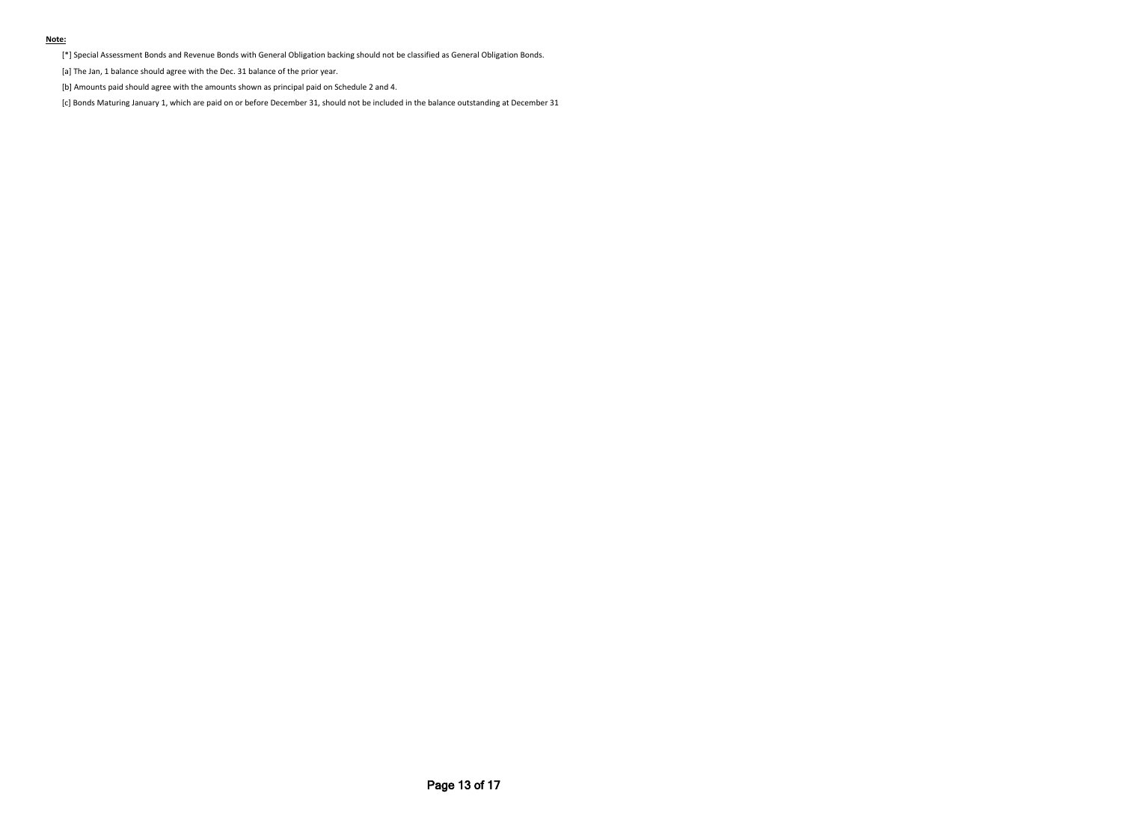#### **Note:**

[\*] Special Assessment Bonds and Revenue Bonds with General Obligation backing should not be classified as General Obligation Bonds.

[a] The Jan, 1 balance should agree with the Dec. 31 balance of the prior year.

[b] Amounts paid should agree with the amounts shown as principal paid on Schedule 2 and 4.

[c] Bonds Maturing January 1, which are paid on or before December 31, should not be included in the balance outstanding at December 31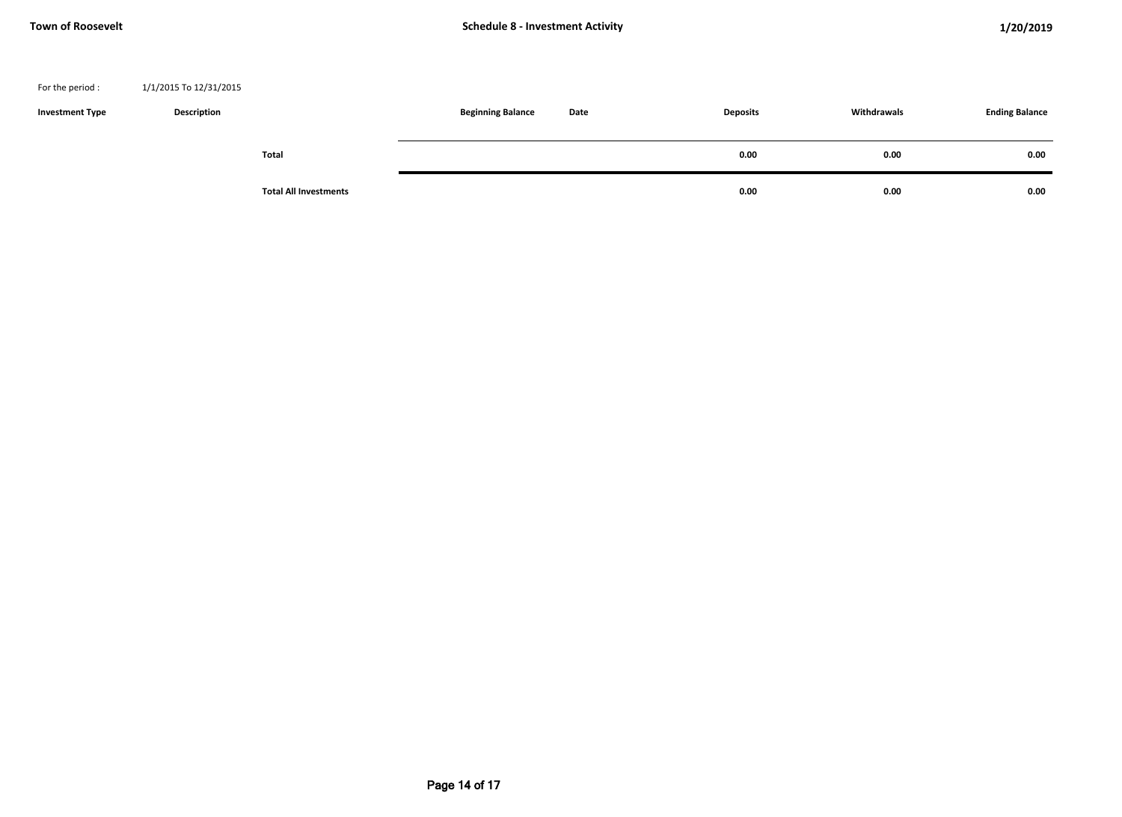### For the period : 1/1/2015 To 12/31/2015

| <b>Investment Type</b> | <b>Description</b> |                              | <b>Beginning Balance</b> | Date | <b>Deposits</b> | Withdrawals | <b>Ending Balance</b> |
|------------------------|--------------------|------------------------------|--------------------------|------|-----------------|-------------|-----------------------|
|                        |                    | Total                        |                          |      | 0.00            | 0.00        | 0.00                  |
|                        |                    | <b>Total All Investments</b> |                          |      | 0.00            | 0.00        | 0.00                  |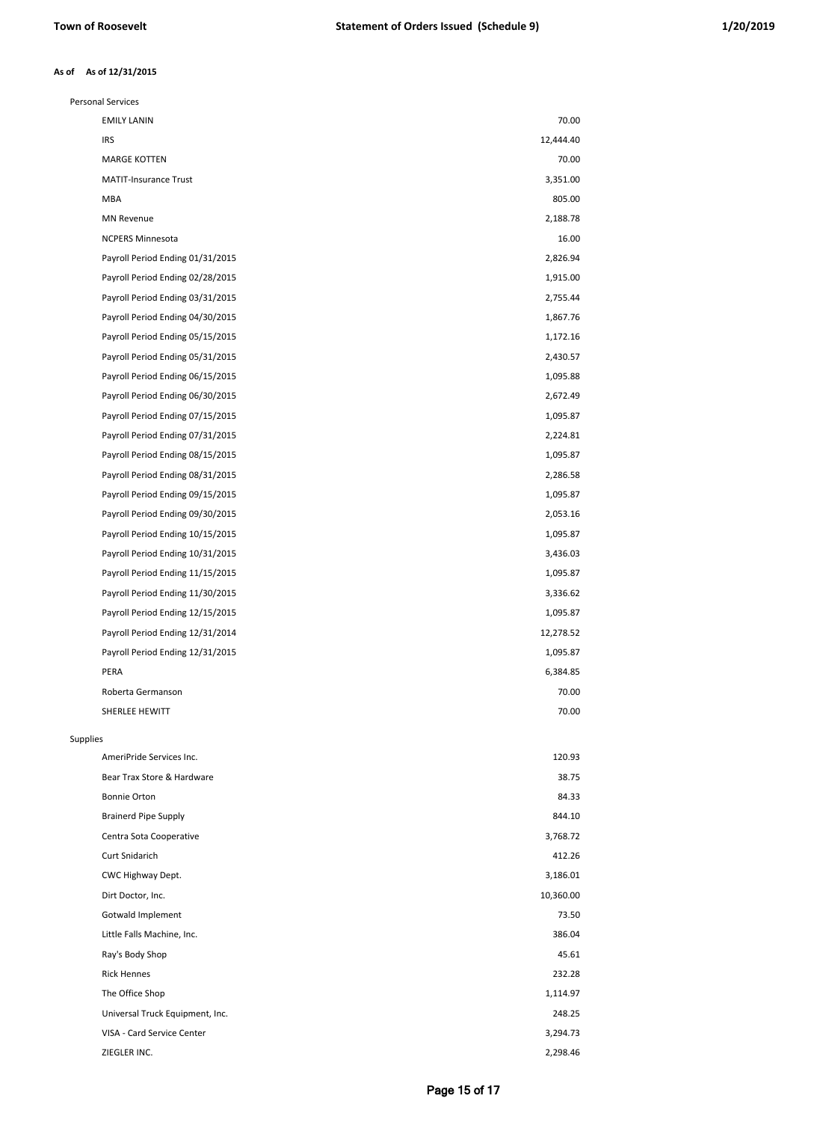#### **As of 12/31/2015 As of**

| <b>Personal Services</b>         |           |
|----------------------------------|-----------|
| <b>EMILY LANIN</b>               | 70.00     |
| IRS                              | 12,444.40 |
| <b>MARGE KOTTEN</b>              | 70.00     |
| <b>MATIT-Insurance Trust</b>     | 3,351.00  |
| <b>MBA</b>                       | 805.00    |
| <b>MN Revenue</b>                | 2,188.78  |
| <b>NCPERS Minnesota</b>          | 16.00     |
| Payroll Period Ending 01/31/2015 | 2,826.94  |
| Payroll Period Ending 02/28/2015 | 1,915.00  |
| Payroll Period Ending 03/31/2015 | 2,755.44  |
| Payroll Period Ending 04/30/2015 | 1,867.76  |
| Payroll Period Ending 05/15/2015 | 1,172.16  |
| Payroll Period Ending 05/31/2015 | 2,430.57  |
| Payroll Period Ending 06/15/2015 | 1,095.88  |
| Payroll Period Ending 06/30/2015 | 2,672.49  |
| Payroll Period Ending 07/15/2015 | 1,095.87  |
| Payroll Period Ending 07/31/2015 | 2,224.81  |
| Payroll Period Ending 08/15/2015 | 1,095.87  |
| Payroll Period Ending 08/31/2015 | 2,286.58  |
| Payroll Period Ending 09/15/2015 | 1,095.87  |
| Payroll Period Ending 09/30/2015 | 2,053.16  |
| Payroll Period Ending 10/15/2015 | 1,095.87  |
| Payroll Period Ending 10/31/2015 | 3,436.03  |
| Payroll Period Ending 11/15/2015 | 1,095.87  |
| Payroll Period Ending 11/30/2015 | 3,336.62  |
| Payroll Period Ending 12/15/2015 | 1,095.87  |
| Payroll Period Ending 12/31/2014 | 12,278.52 |
| Payroll Period Ending 12/31/2015 | 1,095.87  |
| PERA                             | 6,384.85  |
| Roberta Germanson                | 70.00     |
| SHERLEE HEWITT                   | 70.00     |
| Supplies                         |           |
| AmeriPride Services Inc.         | 120.93    |
| Bear Trax Store & Hardware       | 38.75     |
| Bonnie Orton                     | 84.33     |
| <b>Brainerd Pipe Supply</b>      | 844.10    |
| Centra Sota Cooperative          | 3,768.72  |
| Curt Snidarich                   | 412.26    |
| CWC Highway Dept.                | 3,186.01  |
| Dirt Doctor, Inc.                | 10,360.00 |
| Gotwald Implement                | 73.50     |
| Little Falls Machine, Inc.       | 386.04    |
| Ray's Body Shop                  | 45.61     |
| <b>Rick Hennes</b>               | 232.28    |
| The Office Shop                  | 1,114.97  |
| Universal Truck Equipment, Inc.  | 248.25    |
| VISA - Card Service Center       | 3,294.73  |
| ZIEGLER INC.                     | 2,298.46  |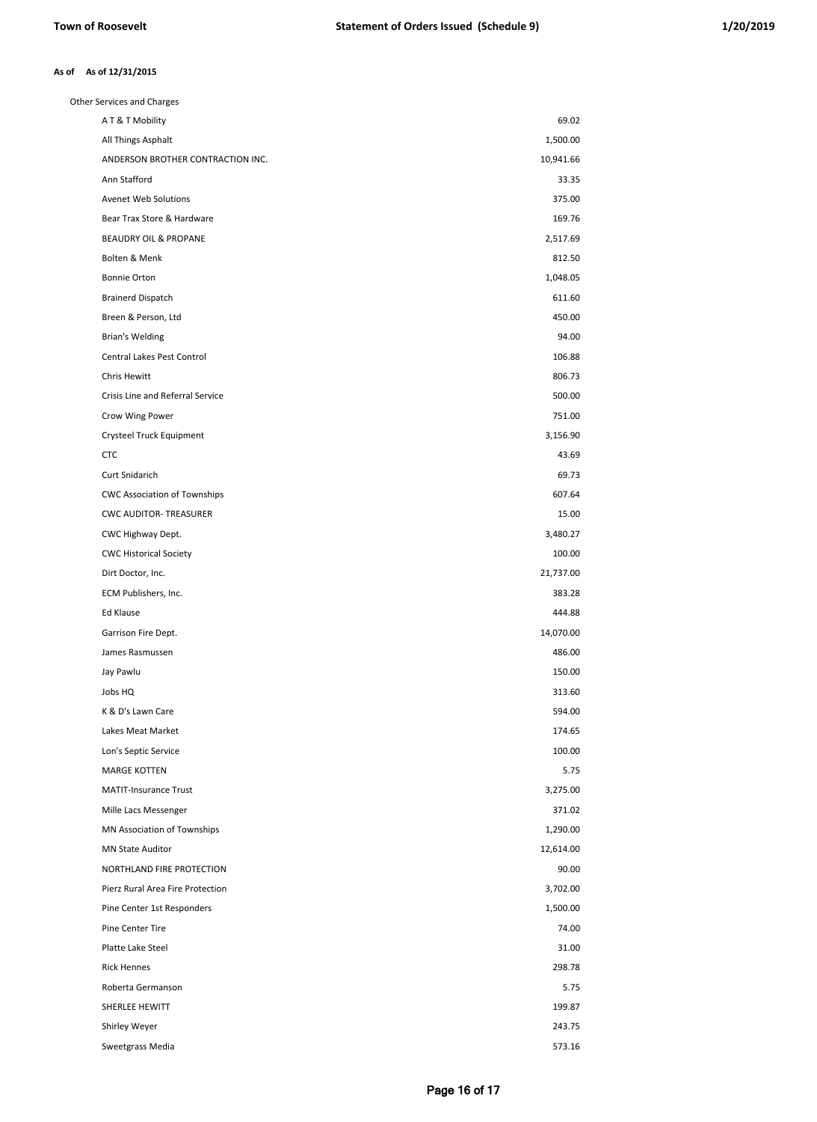#### **As of 12/31/2015 As of**

| Other Services and Charges          |           |
|-------------------------------------|-----------|
| AT&T Mobility                       | 69.02     |
| All Things Asphalt                  | 1,500.00  |
| ANDERSON BROTHER CONTRACTION INC.   | 10,941.66 |
| Ann Stafford                        | 33.35     |
| Avenet Web Solutions                | 375.00    |
| Bear Trax Store & Hardware          | 169.76    |
| BEAUDRY OIL & PROPANE               | 2,517.69  |
| Bolten & Menk                       | 812.50    |
| Bonnie Orton                        | 1,048.05  |
| <b>Brainerd Dispatch</b>            | 611.60    |
| Breen & Person, Ltd                 | 450.00    |
| Brian's Welding                     | 94.00     |
| Central Lakes Pest Control          | 106.88    |
| Chris Hewitt                        | 806.73    |
| Crisis Line and Referral Service    | 500.00    |
| Crow Wing Power                     | 751.00    |
| Crysteel Truck Equipment            | 3,156.90  |
| <b>CTC</b>                          | 43.69     |
| Curt Snidarich                      | 69.73     |
| <b>CWC Association of Townships</b> | 607.64    |
| <b>CWC AUDITOR- TREASURER</b>       | 15.00     |
| CWC Highway Dept.                   | 3,480.27  |
| <b>CWC Historical Society</b>       | 100.00    |
| Dirt Doctor, Inc.                   | 21,737.00 |
| ECM Publishers, Inc.                | 383.28    |
| Ed Klause                           | 444.88    |
| Garrison Fire Dept.                 | 14,070.00 |
| James Rasmussen                     | 486.00    |
| Jay Pawlu                           | 150.00    |
| Jobs HQ                             | 313.60    |
| K & D's Lawn Care                   | 594.00    |
| Lakes Meat Market                   | 174.65    |
| Lon's Septic Service                | 100.00    |
| <b>MARGE KOTTEN</b>                 | 5.75      |
| <b>MATIT-Insurance Trust</b>        | 3,275.00  |
| Mille Lacs Messenger                | 371.02    |
| MN Association of Townships         | 1,290.00  |
| <b>MN State Auditor</b>             | 12,614.00 |
| NORTHLAND FIRE PROTECTION           | 90.00     |
| Pierz Rural Area Fire Protection    | 3,702.00  |
| Pine Center 1st Responders          | 1,500.00  |
| Pine Center Tire                    | 74.00     |
| Platte Lake Steel                   | 31.00     |
| <b>Rick Hennes</b>                  | 298.78    |
| Roberta Germanson                   | 5.75      |
| SHERLEE HEWITT                      | 199.87    |
| Shirley Weyer                       | 243.75    |
| Sweetgrass Media                    | 573.16    |